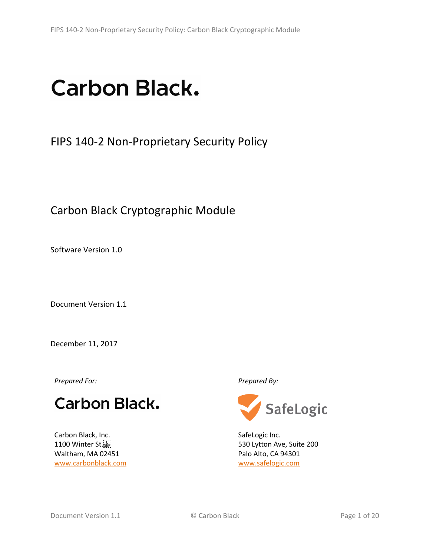# **Carbon Black.**

FIPS 140-2 Non-Proprietary Security Policy

Carbon Black Cryptographic Module

Software Version 1.0

Document Version 1.1

December 11, 2017

*Prepared For: Prepared By:*

# **Carbon Black.**

Carbon Black, Inc. 1100 Winter St. Waltham, MA 02451 [www.carbonblack.com](http://www.carbonblack.com/)



SafeLogic Inc. 530 Lytton Ave, Suite 200 Palo Alto, CA 94301 [www.safelogic.com](http://www.safelogic.com/)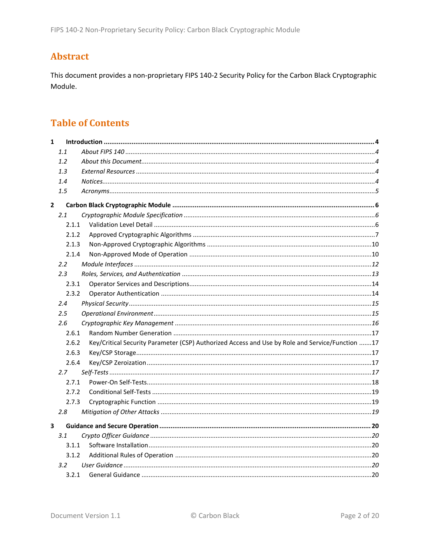## **Abstract**

This document provides a non-proprietary FIPS 140-2 Security Policy for the Carbon Black Cryptographic Module.

#### **Table of Contents**

| $\mathbf{1}$            |       |                                                                                                 |  |
|-------------------------|-------|-------------------------------------------------------------------------------------------------|--|
|                         | 1.1   |                                                                                                 |  |
|                         | 1.2   |                                                                                                 |  |
|                         | 1.3   |                                                                                                 |  |
|                         | 1.4   |                                                                                                 |  |
|                         | 1.5   |                                                                                                 |  |
| $\overline{2}$          |       |                                                                                                 |  |
|                         | 2.1   |                                                                                                 |  |
|                         | 2.1.1 |                                                                                                 |  |
|                         | 2.1.2 |                                                                                                 |  |
|                         | 2.1.3 |                                                                                                 |  |
|                         | 2.1.4 |                                                                                                 |  |
|                         | 2.2   |                                                                                                 |  |
|                         | 2.3   |                                                                                                 |  |
|                         | 2.3.1 |                                                                                                 |  |
|                         | 2.3.2 |                                                                                                 |  |
|                         | 2.4   |                                                                                                 |  |
|                         | 2.5   |                                                                                                 |  |
|                         | 2.6   |                                                                                                 |  |
|                         | 2.6.1 |                                                                                                 |  |
|                         | 2.6.2 | Key/Critical Security Parameter (CSP) Authorized Access and Use by Role and Service/Function 17 |  |
|                         | 2.6.3 |                                                                                                 |  |
|                         | 2.6.4 |                                                                                                 |  |
|                         | 2.7   |                                                                                                 |  |
|                         | 2.7.1 |                                                                                                 |  |
|                         | 2.7.2 |                                                                                                 |  |
|                         | 2.7.3 |                                                                                                 |  |
|                         | 2.8   |                                                                                                 |  |
| $\overline{\mathbf{3}}$ |       |                                                                                                 |  |
|                         | 3.1   |                                                                                                 |  |
|                         | 3.1.1 |                                                                                                 |  |
|                         | 3.1.2 |                                                                                                 |  |
|                         | 3.2   |                                                                                                 |  |
|                         |       |                                                                                                 |  |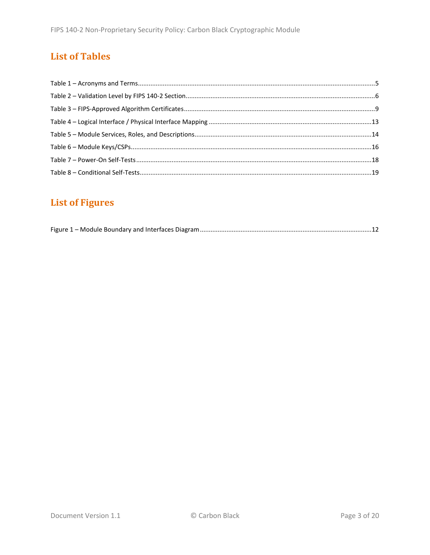# **List of Tables**

# **List of Figures**

|--|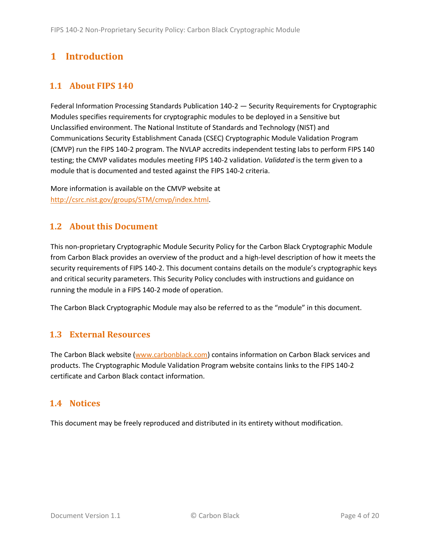# <span id="page-3-0"></span>**1 Introduction**

#### <span id="page-3-1"></span>**1.1 About FIPS 140**

Federal Information Processing Standards Publication 140-2 — Security Requirements for Cryptographic Modules specifies requirements for cryptographic modules to be deployed in a Sensitive but Unclassified environment. The National Institute of Standards and Technology (NIST) and Communications Security Establishment Canada (CSEC) Cryptographic Module Validation Program (CMVP) run the FIPS 140-2 program. The NVLAP accredits independent testing labs to perform FIPS 140 testing; the CMVP validates modules meeting FIPS 140-2 validation. *Validated* is the term given to a module that is documented and tested against the FIPS 140-2 criteria.

More information is available on the CMVP website at [http://csrc.nist.gov/groups/STM/cmvp/index.html.](http://csrc.nist.gov/groups/STM/cmvp/index.html)

#### <span id="page-3-2"></span>**1.2 About this Document**

This non-proprietary Cryptographic Module Security Policy for the Carbon Black Cryptographic Module from Carbon Black provides an overview of the product and a high-level description of how it meets the security requirements of FIPS 140-2. This document contains details on the module's cryptographic keys and critical security parameters. This Security Policy concludes with instructions and guidance on running the module in a FIPS 140-2 mode of operation.

The Carbon Black Cryptographic Module may also be referred to as the "module" in this document.

#### <span id="page-3-3"></span>**1.3 External Resources**

The Carbon Black website [\(www.carbonblack.com\)](http://www.carbonblack.com/) contains information on Carbon Black services and products. The Cryptographic Module Validation Program website contains links to the FIPS 140-2 certificate and Carbon Black contact information.

#### <span id="page-3-4"></span>**1.4 Notices**

This document may be freely reproduced and distributed in its entirety without modification.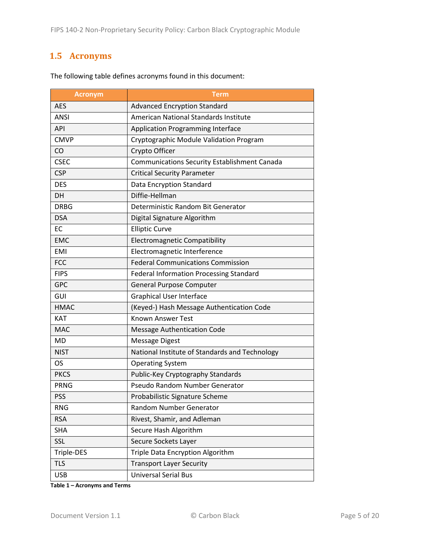#### <span id="page-4-0"></span>**1.5 Acronyms**

| <b>Acronym</b> | Term                                                |  |  |  |  |
|----------------|-----------------------------------------------------|--|--|--|--|
| <b>AES</b>     | <b>Advanced Encryption Standard</b>                 |  |  |  |  |
| <b>ANSI</b>    | American National Standards Institute               |  |  |  |  |
| API            | <b>Application Programming Interface</b>            |  |  |  |  |
| <b>CMVP</b>    | Cryptographic Module Validation Program             |  |  |  |  |
| CO             | Crypto Officer                                      |  |  |  |  |
| <b>CSEC</b>    | <b>Communications Security Establishment Canada</b> |  |  |  |  |
| <b>CSP</b>     | <b>Critical Security Parameter</b>                  |  |  |  |  |
| <b>DES</b>     | Data Encryption Standard                            |  |  |  |  |
| <b>DH</b>      | Diffie-Hellman                                      |  |  |  |  |
| <b>DRBG</b>    | Deterministic Random Bit Generator                  |  |  |  |  |
| <b>DSA</b>     | Digital Signature Algorithm                         |  |  |  |  |
| EC             | <b>Elliptic Curve</b>                               |  |  |  |  |
| <b>EMC</b>     | <b>Electromagnetic Compatibility</b>                |  |  |  |  |
| <b>EMI</b>     | Electromagnetic Interference                        |  |  |  |  |
| <b>FCC</b>     | <b>Federal Communications Commission</b>            |  |  |  |  |
| <b>FIPS</b>    | <b>Federal Information Processing Standard</b>      |  |  |  |  |
| <b>GPC</b>     | <b>General Purpose Computer</b>                     |  |  |  |  |
| GUI            | <b>Graphical User Interface</b>                     |  |  |  |  |
| <b>HMAC</b>    | (Keyed-) Hash Message Authentication Code           |  |  |  |  |
| <b>KAT</b>     | <b>Known Answer Test</b>                            |  |  |  |  |
| <b>MAC</b>     | <b>Message Authentication Code</b>                  |  |  |  |  |
| <b>MD</b>      | <b>Message Digest</b>                               |  |  |  |  |
| <b>NIST</b>    | National Institute of Standards and Technology      |  |  |  |  |
| OS             | <b>Operating System</b>                             |  |  |  |  |
| <b>PKCS</b>    | Public-Key Cryptography Standards                   |  |  |  |  |
| <b>PRNG</b>    | Pseudo Random Number Generator                      |  |  |  |  |
| <b>PSS</b>     | Probabilistic Signature Scheme                      |  |  |  |  |
| <b>RNG</b>     | Random Number Generator                             |  |  |  |  |
| <b>RSA</b>     | Rivest, Shamir, and Adleman                         |  |  |  |  |
| <b>SHA</b>     | Secure Hash Algorithm                               |  |  |  |  |
| SSL            | Secure Sockets Layer                                |  |  |  |  |
| Triple-DES     | Triple Data Encryption Algorithm                    |  |  |  |  |
| <b>TLS</b>     | <b>Transport Layer Security</b>                     |  |  |  |  |
| <b>USB</b>     | <b>Universal Serial Bus</b>                         |  |  |  |  |

The following table defines acronyms found in this document:

**Table 1 – Acronyms and Terms**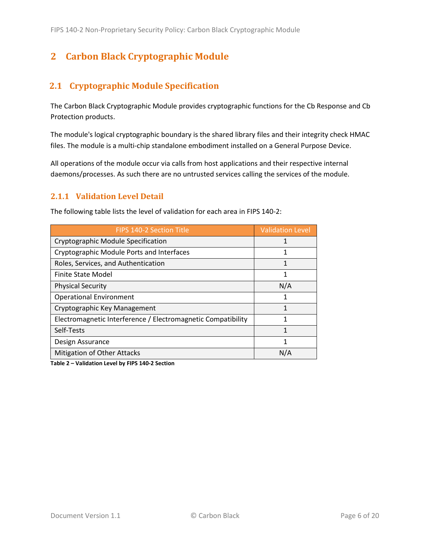# <span id="page-5-0"></span>**2 Carbon Black Cryptographic Module**

#### <span id="page-5-1"></span>**2.1 Cryptographic Module Specification**

The Carbon Black Cryptographic Module provides cryptographic functions for the Cb Response and Cb Protection products.

The module's logical cryptographic boundary is the shared library files and their integrity check HMAC files. The module is a multi-chip standalone embodiment installed on a General Purpose Device.

All operations of the module occur via calls from host applications and their respective internal daemons/processes. As such there are no untrusted services calling the services of the module.

#### <span id="page-5-2"></span>**2.1.1 Validation Level Detail**

| The following table lists the level of validation for each area in FIPS 140-2. |                         |  |  |  |
|--------------------------------------------------------------------------------|-------------------------|--|--|--|
| FIPS 140-2 Section Title                                                       | <b>Validation Level</b> |  |  |  |
| Cryptographic Module Specification                                             | 1                       |  |  |  |
| Cryptographic Module Ports and Interfaces                                      | 1                       |  |  |  |
| Roles, Services, and Authentication                                            | $\mathbf{1}$            |  |  |  |
| Finite State Model                                                             | 1                       |  |  |  |
| <b>Physical Security</b>                                                       | N/A                     |  |  |  |
| <b>Operational Environment</b>                                                 | 1                       |  |  |  |
| Cryptographic Key Management                                                   | 1                       |  |  |  |
| Electromagnetic Interference / Electromagnetic Compatibility                   | 1                       |  |  |  |
| Self-Tests                                                                     | 1                       |  |  |  |
| Design Assurance                                                               | 1                       |  |  |  |
| <b>Mitigation of Other Attacks</b>                                             | N/A                     |  |  |  |

The following table lists the level of validation for each area in FIPS 140-2:

**Table 2 – Validation Level by FIPS 140-2 Section**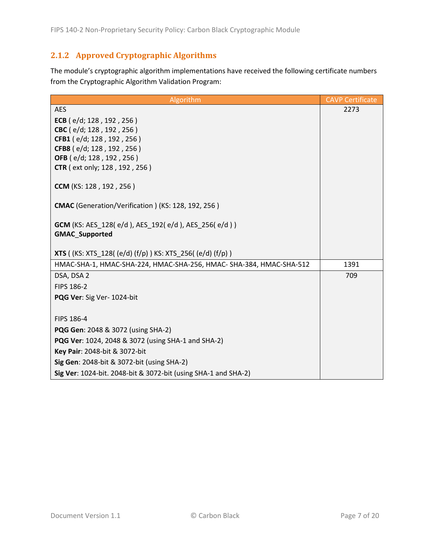#### <span id="page-6-0"></span>**2.1.2 Approved Cryptographic Algorithms**

The module's cryptographic algorithm implementations have received the following certificate numbers from the Cryptographic Algorithm Validation Program:

| Algorithm                                                                          | <b>CAVP Certificate</b> |
|------------------------------------------------------------------------------------|-------------------------|
| <b>AES</b>                                                                         | 2273                    |
| ECB ( $e/d$ ; 128, 192, 256)                                                       |                         |
| CBC (e/d; 128, 192, 256)                                                           |                         |
| CFB1 (e/d; 128, 192, 256)                                                          |                         |
| CFB8 (e/d; 128, 192, 256)                                                          |                         |
| OFB (e/d; 128, 192, 256)<br><b>CTR</b> ( ext only; 128, 192, 256)                  |                         |
|                                                                                    |                         |
| CCM (KS: 128, 192, 256)                                                            |                         |
| CMAC (Generation/Verification) (KS: 128, 192, 256)                                 |                         |
| <b>GCM</b> (KS: AES_128(e/d), AES_192(e/d), AES_256(e/d))<br><b>GMAC Supported</b> |                         |
|                                                                                    |                         |
| <b>XTS</b> ((KS: XTS_128((e/d)(f/p)) KS: XTS_256((e/d)(f/p))                       |                         |
| HMAC-SHA-1, HMAC-SHA-224, HMAC-SHA-256, HMAC- SHA-384, HMAC-SHA-512                | 1391                    |
| DSA, DSA 2                                                                         | 709                     |
| FIPS 186-2                                                                         |                         |
| PQG Ver: Sig Ver- 1024-bit                                                         |                         |
| FIPS 186-4                                                                         |                         |
| PQG Gen: 2048 & 3072 (using SHA-2)                                                 |                         |
| <b>PQG Ver: 1024, 2048 &amp; 3072 (using SHA-1 and SHA-2)</b>                      |                         |
| Key Pair: 2048-bit & 3072-bit                                                      |                         |
| Sig Gen: 2048-bit & 3072-bit (using SHA-2)                                         |                         |
| Sig Ver: 1024-bit. 2048-bit & 3072-bit (using SHA-1 and SHA-2)                     |                         |
|                                                                                    |                         |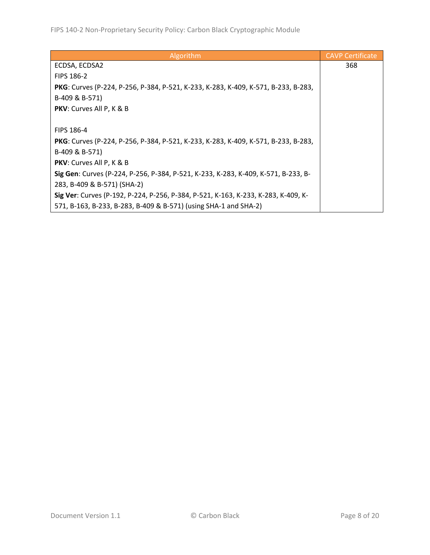| Algorithm                                                                          | <b>CAVP Certificate</b> |
|------------------------------------------------------------------------------------|-------------------------|
| ECDSA, ECDSA2                                                                      | 368                     |
| <b>FIPS 186-2</b>                                                                  |                         |
| PKG: Curves (P-224, P-256, P-384, P-521, K-233, K-283, K-409, K-571, B-233, B-283, |                         |
| B-409 & B-571)                                                                     |                         |
| <b>PKV:</b> Curves All P, K & B                                                    |                         |
|                                                                                    |                         |
| <b>FIPS 186-4</b>                                                                  |                         |
| PKG: Curves (P-224, P-256, P-384, P-521, K-233, K-283, K-409, K-571, B-233, B-283, |                         |
| B-409 & B-571)                                                                     |                         |
| <b>PKV:</b> Curves All P, K & B                                                    |                         |
| Sig Gen: Curves (P-224, P-256, P-384, P-521, K-233, K-283, K-409, K-571, B-233, B- |                         |
| 283, B-409 & B-571) (SHA-2)                                                        |                         |
| Sig Ver: Curves (P-192, P-224, P-256, P-384, P-521, K-163, K-233, K-283, K-409, K- |                         |
| 571, B-163, B-233, B-283, B-409 & B-571) (using SHA-1 and SHA-2)                   |                         |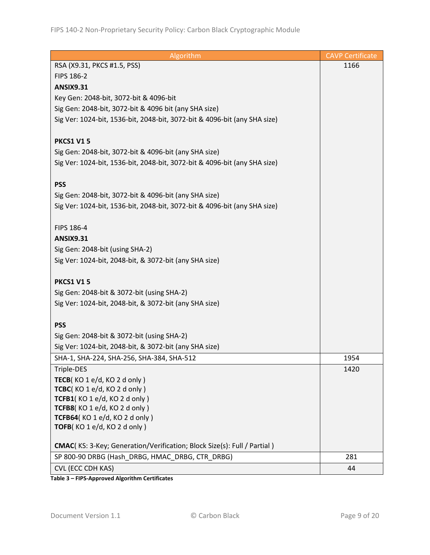| Algorithm                                                                       | <b>CAVP Certificate</b> |
|---------------------------------------------------------------------------------|-------------------------|
| RSA (X9.31, PKCS #1.5, PSS)                                                     | 1166                    |
| FIPS 186-2                                                                      |                         |
| <b>ANSIX9.31</b>                                                                |                         |
| Key Gen: 2048-bit, 3072-bit & 4096-bit                                          |                         |
| Sig Gen: 2048-bit, 3072-bit & 4096 bit (any SHA size)                           |                         |
| Sig Ver: 1024-bit, 1536-bit, 2048-bit, 3072-bit & 4096-bit (any SHA size)       |                         |
|                                                                                 |                         |
| <b>PKCS1 V15</b>                                                                |                         |
| Sig Gen: 2048-bit, 3072-bit & 4096-bit (any SHA size)                           |                         |
| Sig Ver: 1024-bit, 1536-bit, 2048-bit, 3072-bit & 4096-bit (any SHA size)       |                         |
|                                                                                 |                         |
| <b>PSS</b>                                                                      |                         |
| Sig Gen: 2048-bit, 3072-bit & 4096-bit (any SHA size)                           |                         |
| Sig Ver: 1024-bit, 1536-bit, 2048-bit, 3072-bit & 4096-bit (any SHA size)       |                         |
|                                                                                 |                         |
| FIPS 186-4                                                                      |                         |
| <b>ANSIX9.31</b>                                                                |                         |
| Sig Gen: 2048-bit (using SHA-2)                                                 |                         |
| Sig Ver: 1024-bit, 2048-bit, & 3072-bit (any SHA size)                          |                         |
|                                                                                 |                         |
| <b>PKCS1 V15</b>                                                                |                         |
| Sig Gen: 2048-bit & 3072-bit (using SHA-2)                                      |                         |
| Sig Ver: 1024-bit, 2048-bit, & 3072-bit (any SHA size)                          |                         |
|                                                                                 |                         |
| <b>PSS</b>                                                                      |                         |
| Sig Gen: 2048-bit & 3072-bit (using SHA-2)                                      |                         |
| Sig Ver: 1024-bit, 2048-bit, & 3072-bit (any SHA size)                          |                         |
| SHA-1, SHA-224, SHA-256, SHA-384, SHA-512                                       | 1954                    |
| Triple-DES                                                                      | 1420                    |
| TECB(KO 1 e/d, KO 2 d only)                                                     |                         |
| TCBC(KO 1 e/d, KO 2 d only)                                                     |                         |
| TCFB1(KO 1 e/d, KO 2 d only)                                                    |                         |
| TCFB8(KO 1 e/d, KO 2 d only)                                                    |                         |
| TCFB64(KO 1 e/d, KO 2 d only)                                                   |                         |
| TOFB(KO1e/d, KO2d only)                                                         |                         |
| <b>CMAC</b> (KS: 3-Key; Generation/Verification; Block Size(s): Full / Partial) |                         |
| SP 800-90 DRBG (Hash DRBG, HMAC DRBG, CTR DRBG)                                 | 281                     |
| CVL (ECC CDH KAS)                                                               | 44                      |
|                                                                                 |                         |

**Table 3 – FIPS-Approved Algorithm Certificates**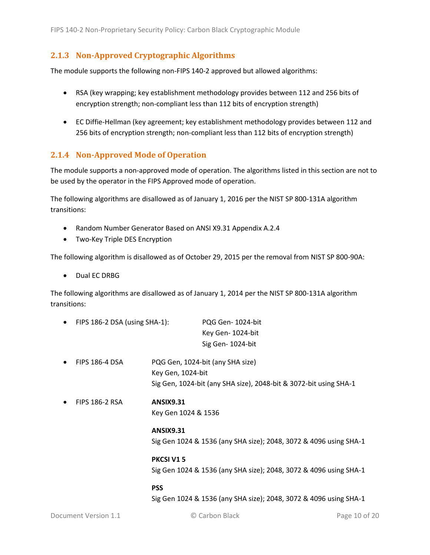#### <span id="page-9-0"></span>**2.1.3 Non-Approved Cryptographic Algorithms**

The module supports the following non-FIPS 140-2 approved but allowed algorithms:

- RSA (key wrapping; key establishment methodology provides between 112 and 256 bits of encryption strength; non-compliant less than 112 bits of encryption strength)
- EC Diffie-Hellman (key agreement; key establishment methodology provides between 112 and 256 bits of encryption strength; non-compliant less than 112 bits of encryption strength)

#### <span id="page-9-1"></span>**2.1.4 Non-Approved Mode of Operation**

The module supports a non-approved mode of operation. The algorithms listed in this section are not to be used by the operator in the FIPS Approved mode of operation.

The following algorithms are disallowed as of January 1, 2016 per the NIST SP 800-131A algorithm transitions:

- Random Number Generator Based on ANSI X9.31 Appendix A.2.4
- Two-Key Triple DES Encryption

The following algorithm is disallowed as of October 29, 2015 per the removal from NIST SP 800-90A:

• Dual EC DRBG

The following algorithms are disallowed as of January 1, 2014 per the NIST SP 800-131A algorithm transitions:

| $\bullet$ | FIPS 186-2 DSA (using SHA-1): |                     | PQG Gen-1024-bit                                                  |  |  |
|-----------|-------------------------------|---------------------|-------------------------------------------------------------------|--|--|
|           |                               |                     | Key Gen-1024-bit                                                  |  |  |
|           |                               |                     | Sig Gen-1024-bit                                                  |  |  |
| $\bullet$ | <b>FIPS 186-4 DSA</b>         |                     | PQG Gen, 1024-bit (any SHA size)                                  |  |  |
|           |                               | Key Gen, 1024-bit   |                                                                   |  |  |
|           |                               |                     | Sig Gen, 1024-bit (any SHA size), 2048-bit & 3072-bit using SHA-1 |  |  |
| $\bullet$ | <b>FIPS 186-2 RSA</b>         | <b>ANSIX9.31</b>    |                                                                   |  |  |
|           |                               | Key Gen 1024 & 1536 |                                                                   |  |  |
|           |                               | <b>ANSIX9.31</b>    |                                                                   |  |  |
|           |                               |                     | Sig Gen 1024 & 1536 (any SHA size); 2048, 3072 & 4096 using SHA-1 |  |  |
|           |                               | PKCSI V15           |                                                                   |  |  |
|           |                               |                     | Sig Gen 1024 & 1536 (any SHA size); 2048, 3072 & 4096 using SHA-1 |  |  |
|           |                               | <b>PSS</b>          |                                                                   |  |  |

Sig Gen 1024 & 1536 (any SHA size); 2048, 3072 & 4096 using SHA-1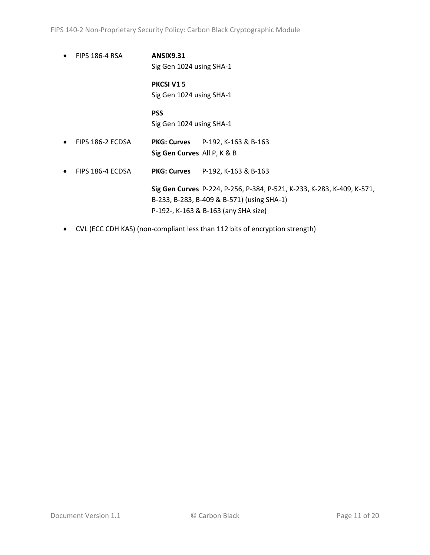- FIPS 186-4 RSA **ANSIX9.31** Sig Gen 1024 using SHA-1 **PKCSI V1 5** Sig Gen 1024 using SHA-1 **PSS** Sig Gen 1024 using SHA-1 • FIPS 186-2 ECDSA **PKG: Curves** P-192, K-163 & B-163 **Sig Gen Curves** All P, K & B • FIPS 186-4 ECDSA **PKG: Curves** P-192, K-163 & B-163 **Sig Gen Curves** P-224, P-256, P-384, P-521, K-233, K-283, K-409, K-571, B-233, B-283, B-409 & B-571) (using SHA-1) P-192-, K-163 & B-163 (any SHA size)
- CVL (ECC CDH KAS) (non-compliant less than 112 bits of encryption strength)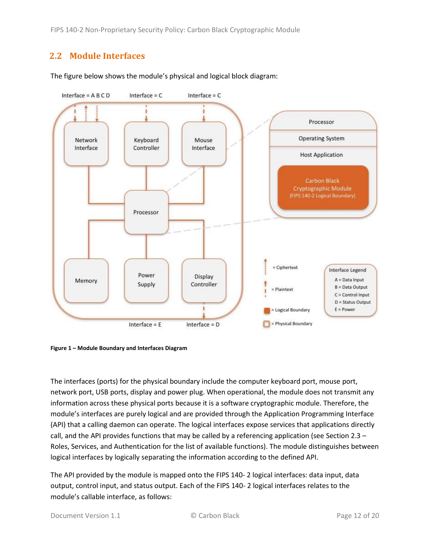FIPS 140-2 Non-Proprietary Security Policy: Carbon Black Cryptographic Module

#### <span id="page-11-0"></span>**2.2 Module Interfaces**



The figure below shows the module's physical and logical block diagram:

<span id="page-11-1"></span>**Figure 1 – Module Boundary and Interfaces Diagram**

The interfaces (ports) for the physical boundary include the computer keyboard port, mouse port, network port, USB ports, display and power plug. When operational, the module does not transmit any information across these physical ports because it is a software cryptographic module. Therefore, the module's interfaces are purely logical and are provided through the Application Programming Interface (API) that a calling daemon can operate. The logical interfaces expose services that applications directly call, and the API provides functions that may be called by a referencing application (see Sectio[n 2.3](#page-12-0) – [Roles, Services, and Authentication](#page-12-0) for the list of available functions). The module distinguishes between logical interfaces by logically separating the information according to the defined API.

The API provided by the module is mapped onto the FIPS 140- 2 logical interfaces: data input, data output, control input, and status output. Each of the FIPS 140- 2 logical interfaces relates to the module's callable interface, as follows: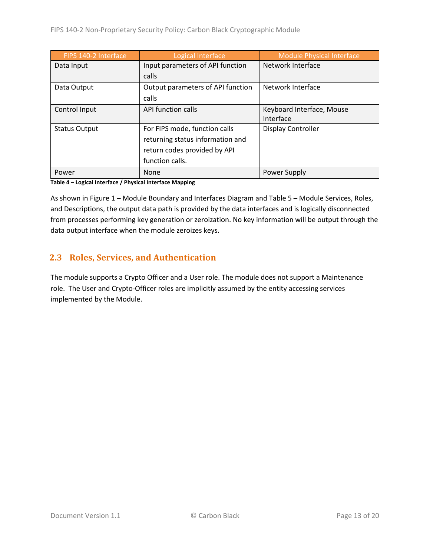| FIPS 140-2 Interface | Logical Interface                 | <b>Module Physical Interface</b> |
|----------------------|-----------------------------------|----------------------------------|
| Data Input           | Input parameters of API function  | Network Interface                |
|                      | calls                             |                                  |
| Data Output          | Output parameters of API function | Network Interface                |
|                      | calls                             |                                  |
| Control Input        | API function calls                | Keyboard Interface, Mouse        |
|                      |                                   | Interface                        |
| <b>Status Output</b> | For FIPS mode, function calls     | <b>Display Controller</b>        |
|                      | returning status information and  |                                  |
|                      | return codes provided by API      |                                  |
|                      | function calls.                   |                                  |
| Power                | None                              | Power Supply                     |

**Table 4 – Logical Interface / Physical Interface Mapping**

As shown in Figure 1 – [Module Boundary and Interfaces Diagram](#page-11-1) and Table 5 – Module [Services, Roles,](#page-13-1) [and Descriptions,](#page-13-1) the output data path is provided by the data interfaces and is logically disconnected from processes performing key generation or zeroization. No key information will be output through the data output interface when the module zeroizes keys.

#### <span id="page-12-0"></span>**2.3 Roles, Services, and Authentication**

<span id="page-12-1"></span>The module supports a Crypto Officer and a User role. The module does not support a Maintenance role. The User and Crypto-Officer roles are implicitly assumed by the entity accessing services implemented by the Module.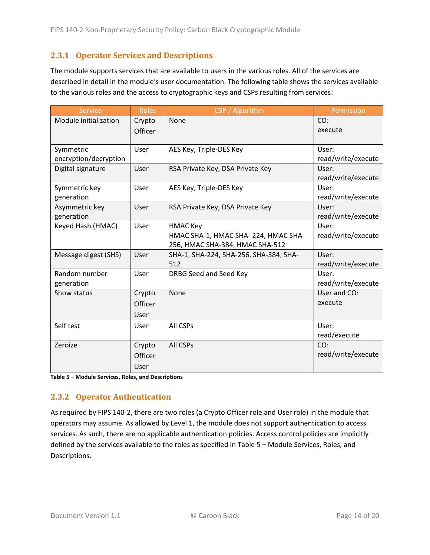#### **2.3.1 Operator Services and Descriptions**

The module supports services that are available to users in the various roles. All of the services are described in detail in the module's user documentation. The following table shows the services available to the various roles and the access to cryptographic keys and CSPs resulting from services:

| <b>Service</b>        | <b>Roles</b> | CSP / Algorithm                        | Permission         |
|-----------------------|--------------|----------------------------------------|--------------------|
| Module initialization | Crypto       | None                                   | CO:                |
|                       | Officer      |                                        | execute            |
|                       |              |                                        |                    |
| Symmetric             | User         | AES Key, Triple-DES Key                | User:              |
| encryption/decryption |              |                                        | read/write/execute |
| Digital signature     | User         | RSA Private Key, DSA Private Key       | User:              |
|                       |              |                                        | read/write/execute |
| Symmetric key         | User         | AES Key, Triple-DES Key                | User:              |
| generation            |              |                                        | read/write/execute |
| Asymmetric key        | User         | RSA Private Key, DSA Private Key       | User:              |
| generation            |              |                                        | read/write/execute |
| Keyed Hash (HMAC)     | User         | <b>HMAC Key</b>                        | User:              |
|                       |              | HMAC SHA-1, HMAC SHA-224, HMAC SHA-    | read/write/execute |
|                       |              | 256, HMAC SHA-384, HMAC SHA-512        |                    |
| Message digest (SHS)  | User         | SHA-1, SHA-224, SHA-256, SHA-384, SHA- | User:              |
|                       |              | 512                                    | read/write/execute |
| Random number         | User         | DRBG Seed and Seed Key                 | User:              |
| generation            |              |                                        | read/write/execute |
| Show status           | Crypto       | None                                   | User and CO:       |
|                       | Officer      |                                        | execute            |
|                       | User         |                                        |                    |
| Self test             | User         | All CSPs                               | User:              |
|                       |              |                                        | read/execute       |
| Zeroize               | Crypto       | All CSPs                               | CO:                |
|                       | Officer      |                                        | read/write/execute |
|                       | User         |                                        |                    |

<span id="page-13-1"></span>**Table 5 – Module Services, Roles, and Descriptions**

#### <span id="page-13-0"></span>**2.3.2 Operator Authentication**

As required by FIPS 140-2, there are two roles (a Crypto Officer role and User role) in the module that operators may assume. As allowed by Level 1, the module does not support authentication to access services. As such, there are no applicable authentication policies. Access control policies are implicitly defined by the services available to the roles as specified in Table 5 – Module [Services, Roles,](#page-13-1) and [Descriptions.](#page-13-1)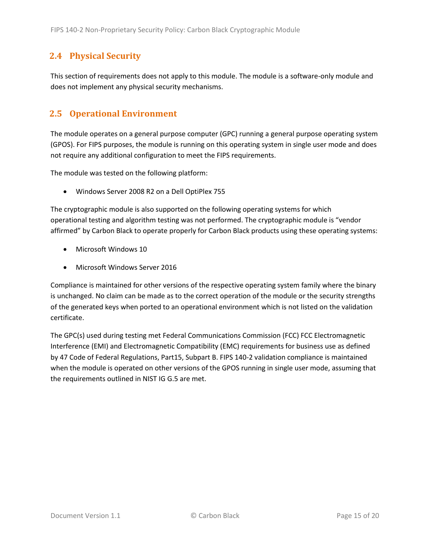#### <span id="page-14-0"></span>**2.4 Physical Security**

This section of requirements does not apply to this module. The module is a software-only module and does not implement any physical security mechanisms.

#### <span id="page-14-1"></span>**2.5 Operational Environment**

The module operates on a general purpose computer (GPC) running a general purpose operating system (GPOS). For FIPS purposes, the module is running on this operating system in single user mode and does not require any additional configuration to meet the FIPS requirements.

The module was tested on the following platform:

• Windows Server 2008 R2 on a Dell OptiPlex 755

The cryptographic module is also supported on the following operating systems for which operational testing and algorithm testing was not performed. The cryptographic module is "vendor affirmed" by Carbon Black to operate properly for Carbon Black products using these operating systems:

- Microsoft Windows 10
- Microsoft Windows Server 2016

Compliance is maintained for other versions of the respective operating system family where the binary is unchanged. No claim can be made as to the correct operation of the module or the security strengths of the generated keys when ported to an operational environment which is not listed on the validation certificate.

The GPC(s) used during testing met Federal Communications Commission (FCC) FCC Electromagnetic Interference (EMI) and Electromagnetic Compatibility (EMC) requirements for business use as defined by 47 Code of Federal Regulations, Part15, Subpart B. FIPS 140-2 validation compliance is maintained when the module is operated on other versions of the GPOS running in single user mode, assuming that the requirements outlined in NIST IG G.5 are met.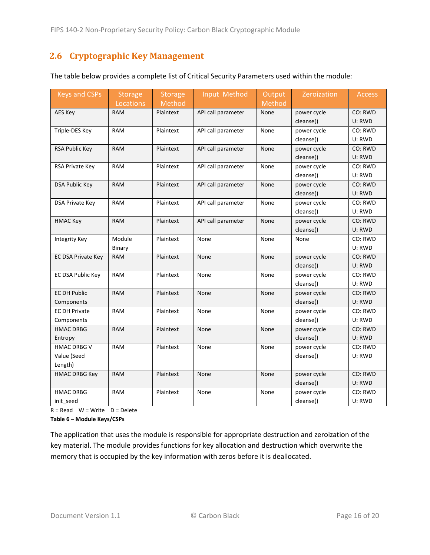#### <span id="page-15-0"></span>**2.6 Cryptographic Key Management**

| <b>Keys and CSPs</b>      | <b>Storage</b> | <b>Storage</b> | Input Method       | Output | Zeroization | Access  |
|---------------------------|----------------|----------------|--------------------|--------|-------------|---------|
|                           | Locations      | Method         |                    | Method |             |         |
| AES Key                   | <b>RAM</b>     | Plaintext      | API call parameter | None   | power cycle | CO: RWD |
|                           |                |                |                    |        | cleanse()   | U: RWD  |
| Triple-DES Key            | RAM            | Plaintext      | API call parameter | None   | power cycle | CO: RWD |
|                           |                |                |                    |        | cleanse()   | U: RWD  |
| RSA Public Key            | <b>RAM</b>     | Plaintext      | API call parameter | None   | power cycle | CO: RWD |
|                           |                |                |                    |        | cleanse()   | U: RWD  |
| RSA Private Key           | <b>RAM</b>     | Plaintext      | API call parameter | None   | power cycle | CO: RWD |
|                           |                |                |                    |        | cleanse()   | U: RWD  |
| <b>DSA Public Key</b>     | <b>RAM</b>     | Plaintext      | API call parameter | None   | power cycle | CO: RWD |
|                           |                |                |                    |        | cleanse()   | U: RWD  |
| <b>DSA Private Key</b>    | <b>RAM</b>     | Plaintext      | API call parameter | None   | power cycle | CO: RWD |
|                           |                |                |                    |        | cleanse()   | U: RWD  |
| <b>HMAC Key</b>           | <b>RAM</b>     | Plaintext      | API call parameter | None   | power cycle | CO: RWD |
|                           |                |                |                    |        | cleanse()   | U: RWD  |
| <b>Integrity Key</b>      | Module         | Plaintext      | None               | None   | None        | CO: RWD |
|                           | Binary         |                |                    |        |             | U: RWD  |
| <b>EC DSA Private Key</b> | <b>RAM</b>     | Plaintext      | None               | None   | power cycle | CO: RWD |
|                           |                |                |                    |        | cleanse()   | U: RWD  |
| EC DSA Public Key         | <b>RAM</b>     | Plaintext      | None               | None   | power cycle | CO: RWD |
|                           |                |                |                    |        | cleanse()   | U: RWD  |
| <b>EC DH Public</b>       | <b>RAM</b>     | Plaintext      | None               | None   | power cycle | CO: RWD |
| Components                |                |                |                    |        | cleanse()   | U: RWD  |
| <b>EC DH Private</b>      | <b>RAM</b>     | Plaintext      | None               | None   | power cycle | CO: RWD |
| Components                |                |                |                    |        | cleanse()   | U: RWD  |
| <b>HMAC DRBG</b>          | <b>RAM</b>     | Plaintext      | None               | None   | power cycle | CO: RWD |
| Entropy                   |                |                |                    |        | cleanse()   | U: RWD  |
| <b>HMAC DRBG V</b>        | <b>RAM</b>     | Plaintext      | None               | None   | power cycle | CO: RWD |
| Value (Seed               |                |                |                    |        | cleanse()   | U: RWD  |
| Length)                   |                |                |                    |        |             |         |
| <b>HMAC DRBG Key</b>      | <b>RAM</b>     | Plaintext      | None               | None   | power cycle | CO: RWD |
|                           |                |                |                    |        | cleanse()   | U: RWD  |
| <b>HMAC DRBG</b>          | <b>RAM</b>     | Plaintext      | None               | None   | power cycle | CO: RWD |
| init seed                 |                |                |                    |        | cleanse()   | U: RWD  |

The table below provides a complete list of Critical Security Parameters used within the module:

 $R = Read \tW = Write \tD = Delete$ 

**Table 6 – Module Keys/CSPs**

The application that uses the module is responsible for appropriate destruction and zeroization of the key material. The module provides functions for key allocation and destruction which overwrite the memory that is occupied by the key information with zeros before it is deallocated.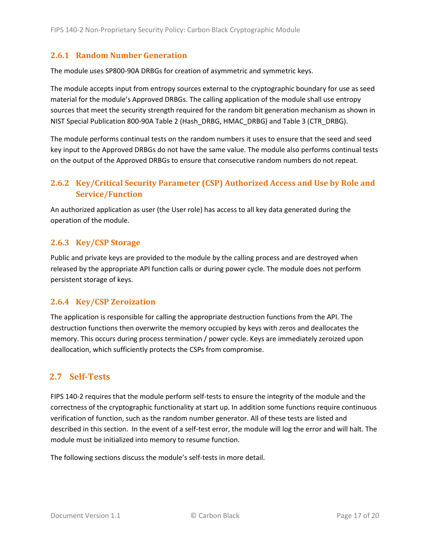#### <span id="page-16-0"></span>**2.6.1 Random Number Generation**

The module uses SP800-90A DRBGs for creation of asymmetric and symmetric keys.

The module accepts input from entropy sources external to the cryptographic boundary for use as seed material for the module's Approved DRBGs. The calling application of the module shall use entropy sources that meet the security strength required for the random bit generation mechanism as shown in NIST Special Publication 800-90A Table 2 (Hash\_DRBG, HMAC\_DRBG) and Table 3 (CTR\_DRBG).

The module performs continual tests on the random numbers it uses to ensure that the seed and seed key input to the Approved DRBGs do not have the same value. The module also performs continual tests on the output of the Approved DRBGs to ensure that consecutive random numbers do not repeat.

#### <span id="page-16-1"></span>**2.6.2 Key/Critical Security Parameter (CSP) Authorized Access and Use by Role and Service/Function**

An authorized application as user (the User role) has access to all key data generated during the operation of the module.

#### <span id="page-16-2"></span>**2.6.3 Key/CSP Storage**

Public and private keys are provided to the module by the calling process and are destroyed when released by the appropriate API function calls or during power cycle. The module does not perform persistent storage of keys.

#### <span id="page-16-3"></span>**2.6.4 Key/CSP Zeroization**

The application is responsible for calling the appropriate destruction functions from the API. The destruction functions then overwrite the memory occupied by keys with zeros and deallocates the memory. This occurs during process termination / power cycle. Keys are immediately zeroized upon deallocation, which sufficiently protects the CSPs from compromise.

#### <span id="page-16-4"></span>**2.7 Self-Tests**

FIPS 140-2 requires that the module perform self-tests to ensure the integrity of the module and the correctness of the cryptographic functionality at start up. In addition some functions require continuous verification of function, such as the random number generator. All of these tests are listed and described in this section. In the event of a self-test error, the module will log the error and will halt. The module must be initialized into memory to resume function.

The following sections discuss the module's self-tests in more detail.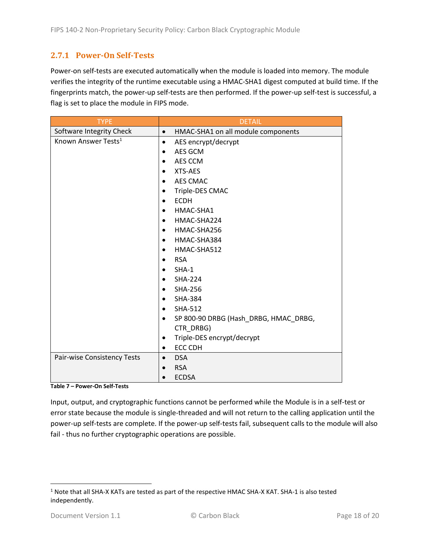#### <span id="page-17-0"></span>**2.7.1 Power-On Self-Tests**

Power-on self-tests are executed automatically when the module is loaded into memory. The module verifies the integrity of the runtime executable using a HMAC-SHA1 digest computed at build time. If the fingerprints match, the power-up self-tests are then performed. If the power-up self-test is successful, a flag is set to place the module in FIPS mode.

| <b>TYPE</b>                     | <b>DETAIL</b>                                      |
|---------------------------------|----------------------------------------------------|
| Software Integrity Check        | HMAC-SHA1 on all module components<br>$\bullet$    |
| Known Answer Tests <sup>1</sup> | AES encrypt/decrypt<br>$\bullet$                   |
|                                 | AES GCM<br>$\bullet$                               |
|                                 | AES CCM<br>$\bullet$                               |
|                                 | XTS-AES<br>$\bullet$                               |
|                                 | <b>AES CMAC</b>                                    |
|                                 | Triple-DES CMAC                                    |
|                                 | <b>ECDH</b><br>$\bullet$                           |
|                                 | HMAC-SHA1<br>$\bullet$                             |
|                                 | HMAC-SHA224<br>$\bullet$                           |
|                                 | HMAC-SHA256<br>$\bullet$                           |
|                                 | HMAC-SHA384<br>$\bullet$                           |
|                                 | HMAC-SHA512<br>$\bullet$                           |
|                                 | <b>RSA</b><br>$\bullet$                            |
|                                 | $SHA-1$                                            |
|                                 | <b>SHA-224</b><br>$\bullet$                        |
|                                 | <b>SHA-256</b><br>$\bullet$                        |
|                                 | <b>SHA-384</b><br>$\bullet$                        |
|                                 | <b>SHA-512</b><br>$\bullet$                        |
|                                 | SP 800-90 DRBG (Hash_DRBG, HMAC_DRBG,<br>$\bullet$ |
|                                 | CTR DRBG)                                          |
|                                 | Triple-DES encrypt/decrypt<br>$\bullet$            |
|                                 | <b>ECC CDH</b><br>$\bullet$                        |
| Pair-wise Consistency Tests     | <b>DSA</b><br>$\bullet$                            |
|                                 | <b>RSA</b>                                         |
|                                 | <b>ECDSA</b>                                       |

**Table 7 – Power-On Self-Tests**

Input, output, and cryptographic functions cannot be performed while the Module is in a self-test or error state because the module is single-threaded and will not return to the calling application until the power-up self-tests are complete. If the power-up self-tests fail, subsequent calls to the module will also fail - thus no further cryptographic operations are possible.

 $\overline{\phantom{a}}$ 

 $1$  Note that all SHA-X KATs are tested as part of the respective HMAC SHA-X KAT. SHA-1 is also tested independently.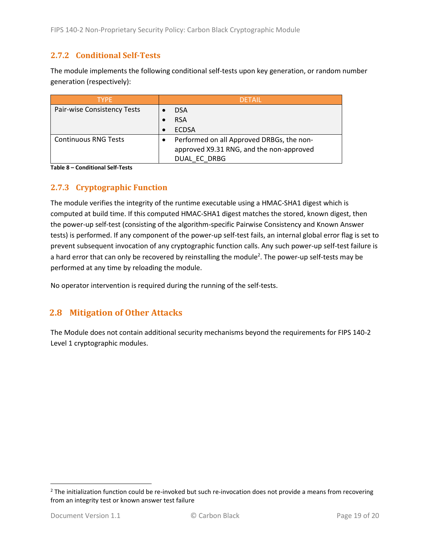#### <span id="page-18-0"></span>**2.7.2 Conditional Self-Tests**

The module implements the following conditional self-tests upon key generation, or random number generation (respectively):

| <b>TYPE</b>                 | <b>DETAIL</b>                             |
|-----------------------------|-------------------------------------------|
| Pair-wise Consistency Tests | <b>DSA</b>                                |
|                             | <b>RSA</b>                                |
|                             | <b>ECDSA</b>                              |
| <b>Continuous RNG Tests</b> | Performed on all Approved DRBGs, the non- |
|                             | approved X9.31 RNG, and the non-approved  |
|                             | DUAL EC DRBG                              |

**Table 8 – Conditional Self-Tests**

#### <span id="page-18-1"></span>**2.7.3 Cryptographic Function**

The module verifies the integrity of the runtime executable using a HMAC-SHA1 digest which is computed at build time. If this computed HMAC-SHA1 digest matches the stored, known digest, then the power-up self-test (consisting of the algorithm-specific Pairwise Consistency and Known Answer tests) is performed. If any component of the power-up self-test fails, an internal global error flag is set to prevent subsequent invocation of any cryptographic function calls. Any such power-up self-test failure is a hard error that can only be recovered by reinstalling the module<sup>2</sup>. The power-up self-tests may be performed at any time by reloading the module.

No operator intervention is required during the running of the self-tests.

#### <span id="page-18-2"></span>**2.8 Mitigation of Other Attacks**

The Module does not contain additional security mechanisms beyond the requirements for FIPS 140-2 Level 1 cryptographic modules.

 $\overline{\phantom{a}}$ 

 $2$  The initialization function could be re-invoked but such re-invocation does not provide a means from recovering from an integrity test or known answer test failure